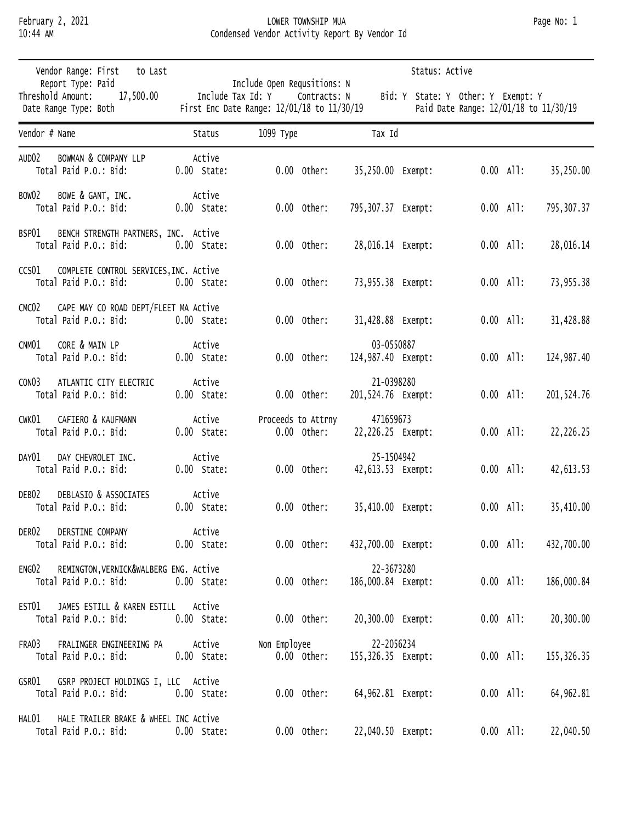## February 2, 2021 LOWER TOWNSHIP MUA Page No: 1 10:44 AM Condensed Vendor Activity Report By Vendor Id

| Vendor Range: First<br>to Last                                                      |                         |                                                                                           |                                  | Status: Active |                                                                             |            |
|-------------------------------------------------------------------------------------|-------------------------|-------------------------------------------------------------------------------------------|----------------------------------|----------------|-----------------------------------------------------------------------------|------------|
| Report Type: Paid<br>Threshold Amount:<br>17,500.00<br>Date Range Type: Both        | Include Tax Id: Y       | Include Open Requsitions: N<br>Contracts: N<br>First Enc Date Range: 12/01/18 to 11/30/19 |                                  |                | Bid: Y State: Y Other: Y Exempt: Y<br>Paid Date Range: 12/01/18 to 11/30/19 |            |
| Vendor # Name                                                                       | Status                  | 1099 Туре                                                                                 | Tax Id                           |                |                                                                             |            |
| AUD <sub>02</sub><br>BOWMAN & COMPANY LLP<br>Total Paid P.O.: Bid:                  | Active<br>$0.00$ State: | $0.00$ Other:                                                                             | 35,250.00 Exempt:                |                | $0.00$ All:                                                                 | 35,250.00  |
| BOW02<br>BOWE & GANT, INC.<br>Total Paid P.O.: Bid:                                 | Active<br>$0.00$ State: | $0.00$ Other:                                                                             | 795,307.37 Exempt:               |                | $0.00$ All:                                                                 | 795,307.37 |
| BSP01<br>BENCH STRENGTH PARTNERS, INC. Active<br>Total Paid P.O.: Bid:              | $0.00$ State:           | $0.00$ Other:                                                                             | 28,016.14 Exempt:                |                | $0.00$ All:                                                                 | 28,016.14  |
| COMPLETE CONTROL SERVICES, INC. Active<br>CCS01<br>Total Paid P.O.: Bid:            | $0.00$ State:           | $0.00$ Other:                                                                             | 73,955.38 Exempt:                |                | $0.00$ All:                                                                 | 73,955.38  |
| CAPE MAY CO ROAD DEPT/FLEET MA Active<br>CMC <sub>02</sub><br>Total Paid P.O.: Bid: | $0.00$ State:           | $0.00$ Other:                                                                             | 31,428.88 Exempt:                |                | $0.00$ All:                                                                 | 31,428.88  |
| CORE & MAIN LP<br>CNM01<br>Total Paid P.O.: Bid:                                    | Active<br>$0.00$ State: | $0.00$ Other:                                                                             | 03-0550887<br>124,987.40 Exempt: |                | $0.00$ All:                                                                 | 124,987.40 |
| CON <sub>03</sub><br>ATLANTIC CITY ELECTRIC<br>Total Paid P.O.: Bid:                | Active<br>$0.00$ State: | $0.00$ Other:                                                                             | 21-0398280<br>201,524.76 Exempt: |                | $0.00$ All:                                                                 | 201,524.76 |
| CAFIERO & KAUFMANN<br>CWK01<br>Total Paid P.O.: Bid:                                | Active<br>$0.00$ State: | Proceeds to Attrny<br>$0.00$ Other:                                                       | 471659673<br>22,226.25 Exempt:   |                | $0.00$ All:                                                                 | 22,226.25  |
| DAY01<br>DAY CHEVROLET INC.<br>Total Paid P.O.: Bid:                                | Active<br>$0.00$ State: | $0.00$ Other:                                                                             | 25-1504942<br>42,613.53 Exempt:  |                | $0.00$ All:                                                                 | 42,613.53  |
| DEB <sub>02</sub><br>DEBLASIO & ASSOCIATES<br>Total Paid P.O.: Bid:                 | Active<br>$0.00$ State: | $0.00$ Other:                                                                             | 35,410.00 Exempt:                |                | $0.00$ All:                                                                 | 35,410.00  |
| DER02<br>DERSTINE COMPANY<br>Total Paid P.O.: Bid:                                  | Active<br>$0.00$ State: | $0.00$ Other:                                                                             | 432,700.00 Exempt:               |                | $0.00$ All:                                                                 | 432,700.00 |
| REMINGTON, VERNICK&WALBERG ENG. Active<br>ENG02<br>Total Paid P.O.: Bid:            | $0.00$ State:           | $0.00$ Other:                                                                             | 22-3673280<br>186,000.84 Exempt: |                | $0.00$ All:                                                                 | 186,000.84 |
| JAMES ESTILL & KAREN ESTILL<br>EST01<br>Total Paid P.O.: Bid:                       | Active<br>$0.00$ State: | $0.00$ Other:                                                                             | 20,300.00 Exempt:                |                | $0.00$ All:                                                                 | 20,300.00  |
| FRALINGER ENGINEERING PA<br>FRA03<br>Total Paid P.O.: Bid:                          | Active<br>$0.00$ State: | Non Employee<br>$0.00$ Other:                                                             | 22-2056234<br>155,326.35 Exempt: |                | $0.00$ All:                                                                 | 155,326.35 |
| GSRP PROJECT HOLDINGS I, LLC Active<br>GSR01<br>Total Paid P.O.: Bid:               | $0.00$ State:           | $0.00$ Other:                                                                             | 64,962.81 Exempt:                |                | $0.00$ All:                                                                 | 64,962.81  |
| HALE TRAILER BRAKE & WHEEL INC Active<br>HAL01<br>Total Paid P.O.: Bid:             | $0.00$ State:           | $0.00$ Other:                                                                             | 22,040.50 Exempt:                |                | $0.00$ All:                                                                 | 22,040.50  |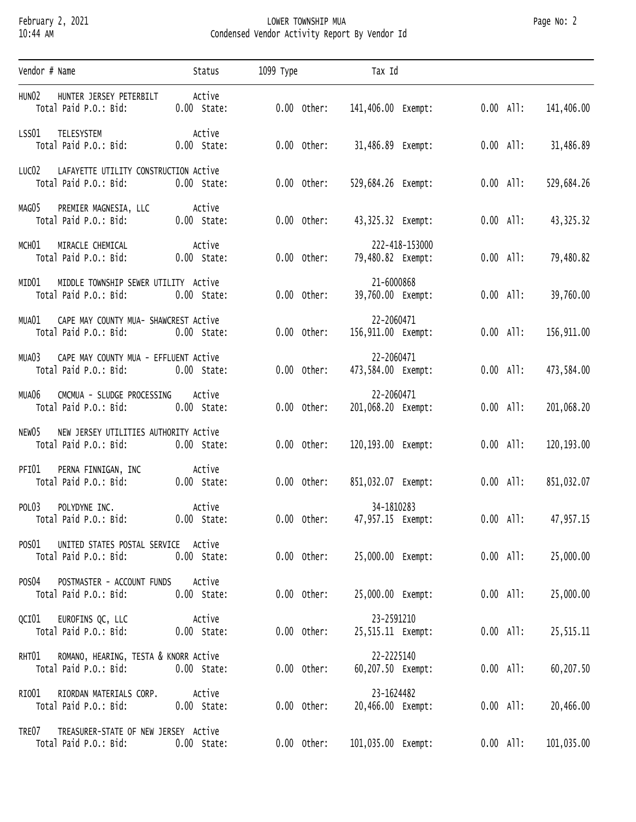## February 2, 2021 LOWER TOWNSHIP MUA Page No: 2 10:44 AM Condensed Vendor Activity Report By Vendor Id

| Vendor # Name                                                                                  | Status                  | 1099 Туре     | Tax Id                              |                         |            |
|------------------------------------------------------------------------------------------------|-------------------------|---------------|-------------------------------------|-------------------------|------------|
| HUNO2<br>HUNTER JERSEY PETERBILT<br>Total Paid P.O.: Bid:                                      | Active<br>$0.00$ State: | $0.00$ Other: | 141,406.00 Exempt:                  | $0.00$ All:             | 141,406.00 |
| LSS01 TELESYSTEM<br>Total Paid P.O.: Bid:                                                      | Active<br>$0.00$ State: | $0.00$ Other: |                                     | $0.00$ All:             | 31,486.89  |
| LUCO2 LAFAYETTE UTILITY CONSTRUCTION ACtive<br>Total Paid P.O.: Bid:                           | $0.00$ State:           | $0.00$ Other: | 529,684.26 Exempt:                  | $0.00$ All:             | 529,684.26 |
| MAGO5 PREMIER MAGNESIA, LLC<br>Total Paid P.O.: Bid:                                           | Active<br>$0.00$ State: | $0.00$ Other: |                                     | $0.00$ All:             | 43, 325.32 |
| MCHO1 MIRACLE CHEMICAL<br>Total Paid P.O.: Bid:                                                | Active<br>$0.00$ State: | $0.00$ Other: | 222-418-153000<br>79,480.82 Exempt: | $0.00$ All:             | 79,480.82  |
| MID01 MIDDLE TOWNSHIP SEWER UTILITY Active<br>Total Paid P.O.: Bid:                            | $0.00$ State:           | $0.00$ Other: | 21-6000868<br>39,760.00 Exempt:     | $0.00$ All:             | 39,760.00  |
| MUA01 CAPE MAY COUNTY MUA- SHAWCREST Active<br>Total Paid P.O.: Bid:                           | $0.00$ State:           | $0.00$ Other: | 22-2060471<br>156,911.00 Exempt:    | $0.00$ All:             | 156,911.00 |
| MUA03 CAPE MAY COUNTY MUA - EFFLUENT Active<br>Total Paid P.O.: Bid:                           | 0.00 State:             | $0.00$ Other: | 22-2060471<br>473,584.00 Exempt:    | $0.00$ All:             | 473,584.00 |
| MUA06 CMCMUA - SLUDGE PROCESSING Active<br>Total Paid P.O.: Bid:                               | $0.00$ State:           | $0.00$ Other: | 22-2060471<br>201,068.20 Exempt:    | $0.00$ All:             | 201,068.20 |
| NEW05 NEW JERSEY UTILITIES AUTHORITY Active<br>Total Paid P.O.: Bid:                           | $0.00$ State:           | $0.00$ Other: | 120,193.00 Exempt:                  | $0.00$ All:             | 120,193.00 |
| COLLING TINNIGAN, INC Active<br>Total Paid P.O.: Bid: 0.00 State:<br>PFIO1 PERNA FINNIGAN, INC | $0.00$ State:           | 0.00 Other:   | 851,032.07 Exempt:                  | $0.00$ All:             | 851,032.07 |
| POLO3 POLYDYNE INC.<br>Total Paid P.O.: Bid:                                                   | Active<br>$0.00$ State: | $0.00$ Other: | 34-1810283<br>47,957.15 Exempt:     | $0.00$ All: $47,957.15$ |            |
| UNITED STATES POSTAL SERVICE Active<br>POSO1<br>Total Paid P.O.: Bid:                          | $0.00$ State:           | $0.00$ Other: | 25,000.00 Exempt:                   | $0.00$ All:             | 25,000.00  |
| POSTMASTER - ACCOUNT FUNDS<br>POS04<br>Total Paid P.O.: Bid:                                   | Active<br>$0.00$ State: | $0.00$ Other: | 25,000.00 Exempt:                   | $0.00$ All:             | 25,000.00  |
| EUROFINS QC, LLC<br>QCIO1<br>Total Paid P.O.: Bid:                                             | Active<br>$0.00$ State: | $0.00$ Other: | 23-2591210<br>25,515.11 Exempt:     | $0.00$ All:             | 25, 515.11 |
| ROMANO, HEARING, TESTA & KNORR Active<br>RHT01<br>Total Paid P.O.: Bid:                        | $0.00$ State:           | $0.00$ Other: | 22-2225140<br>60,207.50 Exempt:     | $0.00$ All:             | 60,207.50  |
| RIORDAN MATERIALS CORP.<br>RIO01<br>Total Paid P.O.: Bid:                                      | Active<br>$0.00$ State: | $0.00$ Other: | 23-1624482<br>20,466.00 Exempt:     | $0.00$ All:             | 20,466.00  |
| TREASURER-STATE OF NEW JERSEY Active<br>TRE07<br>Total Paid P.O.: Bid:                         | $0.00$ State:           | $0.00$ Other: | 101,035.00 Exempt:                  | $0.00$ All:             | 101,035.00 |